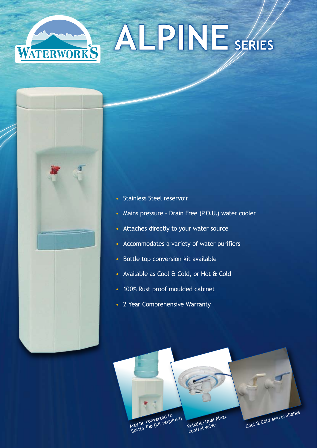





- Stainless Steel reservoir
- Mains pressure Drain Free (P.O.U.) water cooler
- Attaches directly to your water source
- Accommodates a variety of water purifiers
- Bottle top conversion kit available
- Available as Cool & Cold, or Hot & Cold
- 100% Rust proof moulded cabinet
- 2 Year Comprehensive Warranty



May be converted to<br>Bottle Top (kit required)

Reliable Dual Float control valve

Cool & Cold also available